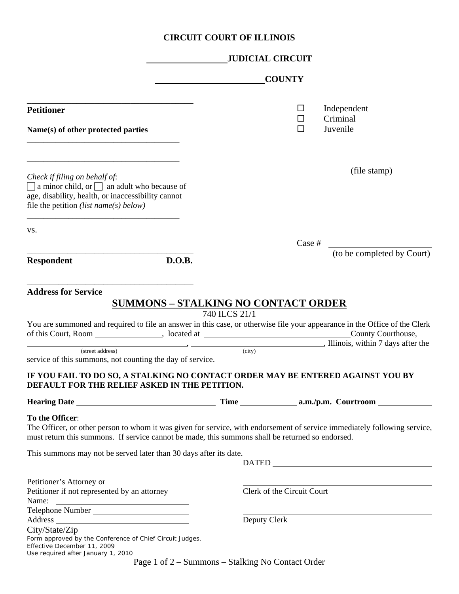## **CIRCUIT COURT OF ILLINOIS**

|                                                                                                                                                                                                 | <b>JUDICIAL CIRCUIT</b>                                                                                                                                                                                                                                                                                                                                                                                                                               |  |  |  |
|-------------------------------------------------------------------------------------------------------------------------------------------------------------------------------------------------|-------------------------------------------------------------------------------------------------------------------------------------------------------------------------------------------------------------------------------------------------------------------------------------------------------------------------------------------------------------------------------------------------------------------------------------------------------|--|--|--|
|                                                                                                                                                                                                 | <b>COUNTY</b>                                                                                                                                                                                                                                                                                                                                                                                                                                         |  |  |  |
| <b>Petitioner</b>                                                                                                                                                                               | Independent<br>ப<br>Criminal<br>□                                                                                                                                                                                                                                                                                                                                                                                                                     |  |  |  |
| Name(s) of other protected parties                                                                                                                                                              | Juvenile<br>□                                                                                                                                                                                                                                                                                                                                                                                                                                         |  |  |  |
| Check if filing on behalf of:<br>$\Box$ a minor child, or $\Box$ an adult who because of<br>age, disability, health, or inaccessibility cannot<br>file the petition <i>(list name(s) below)</i> | (file stamp)                                                                                                                                                                                                                                                                                                                                                                                                                                          |  |  |  |
| VS.                                                                                                                                                                                             | $\text{Case } \#$                                                                                                                                                                                                                                                                                                                                                                                                                                     |  |  |  |
| D.O.B.<br><b>Respondent</b>                                                                                                                                                                     | (to be completed by Court)                                                                                                                                                                                                                                                                                                                                                                                                                            |  |  |  |
| <b>Address for Service</b><br>(street address)<br>service of this summons, not counting the day of service.                                                                                     | <b>SUMMONS - STALKING NO CONTACT ORDER</b><br>740 ILCS 21/1<br>You are summoned and required to file an answer in this case, or otherwise file your appearance in the Office of the Clerk<br>of this Court, Room ______________, located at __________________________________County Courthouse,<br>$\frac{1}{\text{[OIII]}}$ comparisons, within 7 days after the<br>IF YOU FAIL TO DO SO, A STALKING NO CONTACT ORDER MAY BE ENTERED AGAINST YOU BY |  |  |  |
| DEFAULT FOR THE RELIEF ASKED IN THE PETITION.                                                                                                                                                   |                                                                                                                                                                                                                                                                                                                                                                                                                                                       |  |  |  |
| To the Officer:<br>This summons may not be served later than 30 days after its date.                                                                                                            | The Officer, or other person to whom it was given for service, with endorsement of service immediately following service,<br>must return this summons. If service cannot be made, this summons shall be returned so endorsed.<br>DATED <b>DATED</b>                                                                                                                                                                                                   |  |  |  |
| Petitioner's Attorney or<br>Petitioner if not represented by an attorney<br>Name:<br>Telephone Number                                                                                           | Clerk of the Circuit Court                                                                                                                                                                                                                                                                                                                                                                                                                            |  |  |  |
| City/State/Zip<br>Form approved by the Conference of Chief Circuit Judges.<br>Effective December 11, 2009<br>Use required after January 1, 2010                                                 | Deputy Clerk<br>$D0.02 1 of 2. Symman.$ Stalling No Contact Order                                                                                                                                                                                                                                                                                                                                                                                     |  |  |  |

Page 1 of 2 – Summons – Stalking No Contact Order